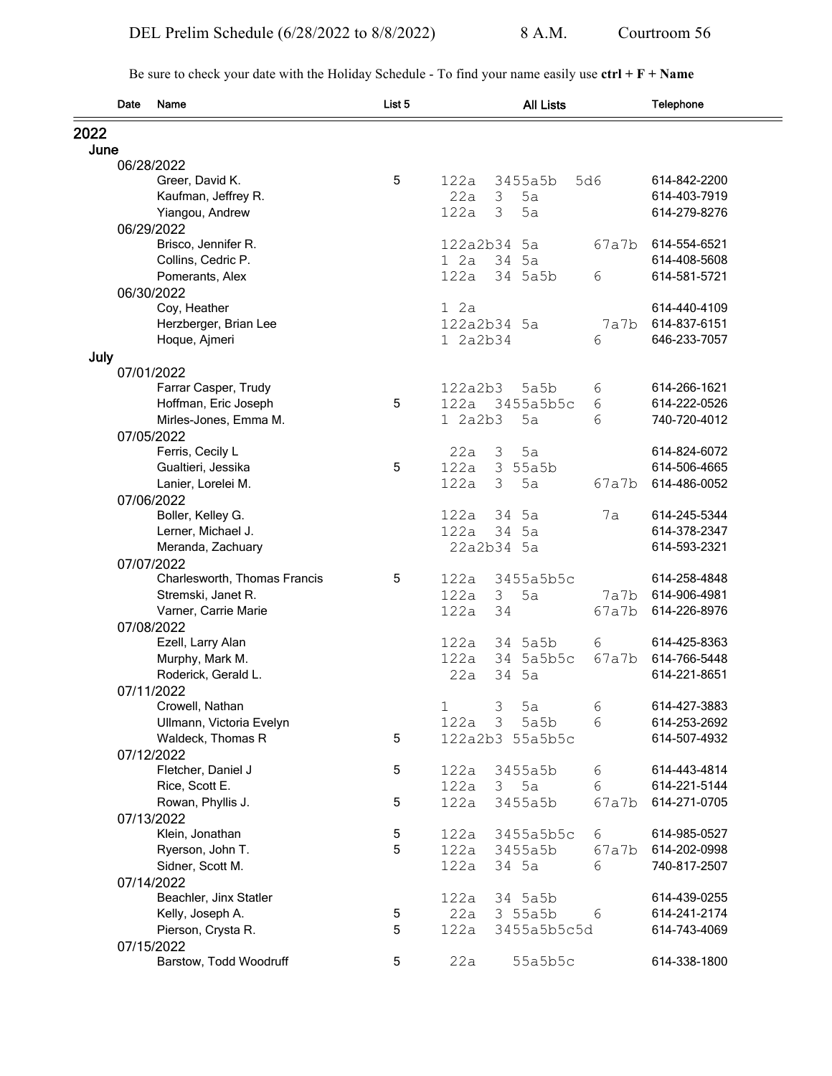Be sure to check your date with the Holiday Schedule - To find your name easily use **ctrl + F + Name**

|      | Date | Name                         | List 5 |          | <b>All Lists</b> |       | Telephone    |
|------|------|------------------------------|--------|----------|------------------|-------|--------------|
| 2022 |      |                              |        |          |                  |       |              |
| June |      |                              |        |          |                  |       |              |
|      |      | 06/28/2022                   |        |          |                  |       |              |
|      |      | Greer, David K.              | 5      | 122a     | 3455a5b          | 5d6   | 614-842-2200 |
|      |      | Kaufman, Jeffrey R.          |        | 22a      | 3<br>5a          |       | 614-403-7919 |
|      |      | Yiangou, Andrew              |        | 122a     | 3<br>5a          |       | 614-279-8276 |
|      |      | 06/29/2022                   |        |          |                  |       |              |
|      |      | Brisco, Jennifer R.          |        | 122a2b34 | 5a               | 67a7b | 614-554-6521 |
|      |      | Collins, Cedric P.           |        | 12a      | 34<br>5a         |       | 614-408-5608 |
|      |      | Pomerants, Alex              |        | 122a     | 34 5a5b          | 6     | 614-581-5721 |
|      |      | 06/30/2022                   |        |          |                  |       |              |
|      |      | Coy, Heather                 |        | 12a      |                  |       | 614-440-4109 |
|      |      | Herzberger, Brian Lee        |        |          | 122a2b34 5a      | 7a7b  | 614-837-6151 |
|      |      | Hoque, Ajmeri                |        | 1 2a2b34 |                  | 6     | 646-233-7057 |
| July |      |                              |        |          |                  |       |              |
|      |      | 07/01/2022                   |        |          |                  |       |              |
|      |      | Farrar Casper, Trudy         |        | 122a2b3  | 5a5b             | 6     | 614-266-1621 |
|      |      | Hoffman, Eric Joseph         | 5      | 122a     | 3455a5b5c        | 6     | 614-222-0526 |
|      |      | Mirles-Jones, Emma M.        |        | 1 2a2b3  | 5a               | 6     | 740-720-4012 |
|      |      | 07/05/2022                   |        |          |                  |       |              |
|      |      | Ferris, Cecily L             |        | 22a      | 5a<br>3          |       | 614-824-6072 |
|      |      | Gualtieri, Jessika           | 5      | 122a     | 3<br>55a5b       |       | 614-506-4665 |
|      |      | Lanier, Lorelei M.           |        | 122a     | 5a<br>3          | 67a7b | 614-486-0052 |
|      |      | 07/06/2022                   |        |          |                  |       |              |
|      |      | Boller, Kelley G.            |        | 122a     | 5a<br>34         | 7a    | 614-245-5344 |
|      |      | Lerner, Michael J.           |        | 122a     | 34 5a            |       | 614-378-2347 |
|      |      | Meranda, Zachuary            |        |          | 22a2b34 5a       |       | 614-593-2321 |
|      |      | 07/07/2022                   |        |          |                  |       |              |
|      |      | Charlesworth, Thomas Francis | 5      | 122a     | 3455a5b5c        |       | 614-258-4848 |
|      |      | Stremski, Janet R.           |        | 122a     | 3<br>5a          | 7a7b  | 614-906-4981 |
|      |      | Varner, Carrie Marie         |        | 122a     | 34               | 67a7b | 614-226-8976 |
|      |      | 07/08/2022                   |        |          |                  |       |              |
|      |      | Ezell, Larry Alan            |        | 122a     | 34 5a5b          | 6     | 614-425-8363 |
|      |      | Murphy, Mark M.              |        | 122a     | 34 5a5b5c        | 67a7b | 614-766-5448 |
|      |      | Roderick, Gerald L.          |        | 22a      | 34<br>5a         |       | 614-221-8651 |
|      |      | 07/11/2022                   |        |          |                  |       |              |
|      |      | Crowell, Nathan              |        | 1        | 3<br>5a          | 6     | 614-427-3883 |
|      |      | Ullmann, Victoria Evelyn     |        | 122a     | 3<br>5a5b        | 6     | 614-253-2692 |
|      |      | Waldeck, Thomas R            | 5      |          | 122a2b3 55a5b5c  |       | 614-507-4932 |
|      |      | 07/12/2022                   |        |          |                  |       |              |
|      |      | Fletcher, Daniel J           | 5      | 122a     | 3455a5b          | 6     | 614-443-4814 |
|      |      | Rice, Scott E.               |        | 122a     | 5a<br>3          | 6     | 614-221-5144 |
|      |      | Rowan, Phyllis J.            | 5      | 122a     | 3455a5b          | 67a7b | 614-271-0705 |
|      |      | 07/13/2022                   |        |          |                  |       |              |
|      |      | Klein, Jonathan              | 5      | 122a     | 3455a5b5c        | 6     | 614-985-0527 |
|      |      | Ryerson, John T.             | 5      | 122a     | 3455a5b          | 67a7b | 614-202-0998 |
|      |      | Sidner, Scott M.             |        | 122a     | 34 5a            | 6     | 740-817-2507 |
|      |      | 07/14/2022                   |        |          |                  |       |              |
|      |      | Beachler, Jinx Statler       |        | 122a     | 34 5a5b          |       | 614-439-0255 |
|      |      | Kelly, Joseph A.             | 5      | 22a      | 3 55a5b          | 6     | 614-241-2174 |
|      |      | Pierson, Crysta R.           | 5      |          |                  |       | 614-743-4069 |
|      |      |                              |        | 122a     | 3455a5b5c5d      |       |              |
|      |      | 07/15/2022                   | 5      |          |                  |       | 614-338-1800 |
|      |      | Barstow, Todd Woodruff       |        | 22a      | 55a5b5c          |       |              |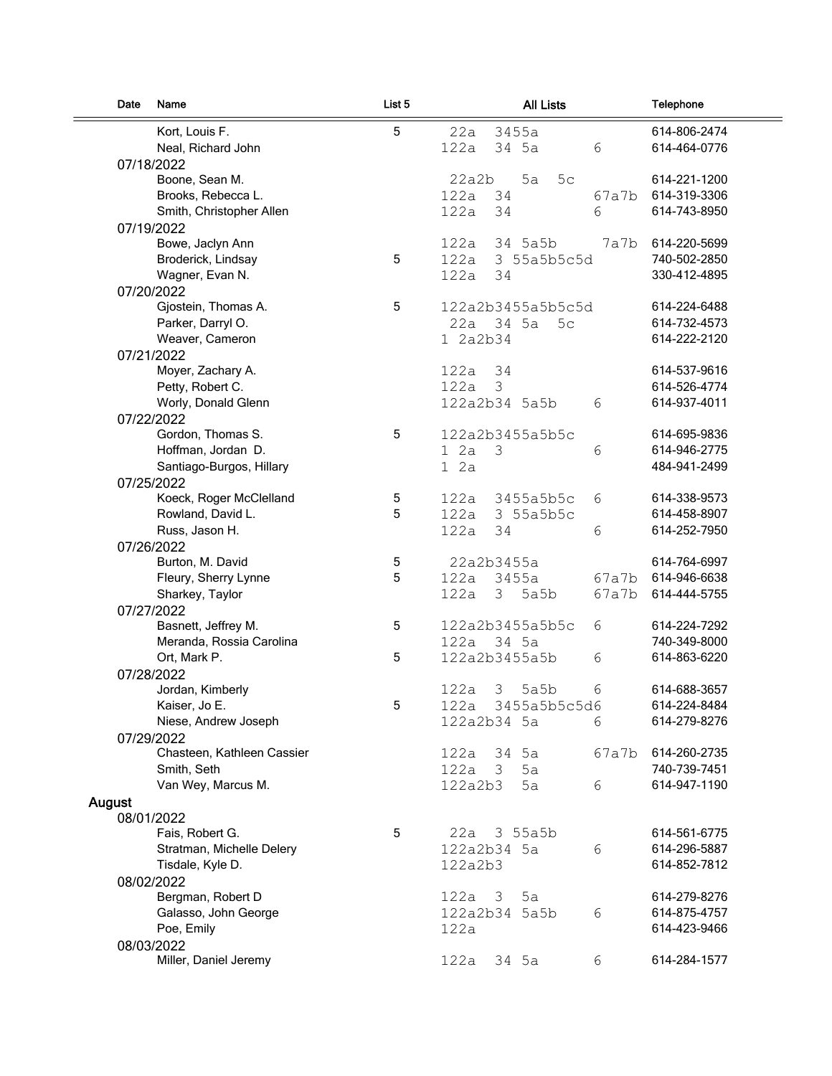| Date   | Name                              | List 5 | <b>All Lists</b>            | Telephone    |
|--------|-----------------------------------|--------|-----------------------------|--------------|
|        | Kort, Louis F.                    | 5      | 22a<br>3455a                | 614-806-2474 |
|        | Neal, Richard John                |        | 6<br>122a<br>34 5a          | 614-464-0776 |
|        | 07/18/2022                        |        |                             |              |
|        | Boone, Sean M.                    |        | 22a2b<br>5a<br>5c           | 614-221-1200 |
|        | Brooks, Rebecca L.                |        | 122a<br>34<br>67a7b         | 614-319-3306 |
|        | Smith, Christopher Allen          |        | 6<br>122a<br>34             | 614-743-8950 |
|        | 07/19/2022                        |        |                             |              |
|        | Bowe, Jaclyn Ann                  |        | 122a<br>34 5a5b<br>7a7b     | 614-220-5699 |
|        | Broderick, Lindsay                | 5      | 122a<br>3 55a5b5c5d         | 740-502-2850 |
|        | Wagner, Evan N.                   |        | 122a<br>34                  | 330-412-4895 |
|        | 07/20/2022                        |        |                             |              |
|        | Gjostein, Thomas A.               | 5      | 122a2b3455a5b5c5d           | 614-224-6488 |
|        | Parker, Darryl O.                 |        | 34 5a<br>22a<br>5c          | 614-732-4573 |
|        | Weaver, Cameron                   |        | 1 2a2b34                    | 614-222-2120 |
|        | 07/21/2022                        |        |                             |              |
|        | Moyer, Zachary A.                 |        | 122a<br>34                  | 614-537-9616 |
|        | Petty, Robert C.                  |        | 3<br>122a                   | 614-526-4774 |
|        | Worly, Donald Glenn               |        | 122a2b34 5a5b<br>6          | 614-937-4011 |
|        | 07/22/2022                        |        |                             |              |
|        | Gordon, Thomas S.                 | 5      | 122a2b3455a5b5c             | 614-695-9836 |
|        | Hoffman, Jordan D.                |        | 12a<br>3<br>6               | 614-946-2775 |
|        | Santiago-Burgos, Hillary          |        | 12a                         | 484-941-2499 |
|        | 07/25/2022                        |        |                             |              |
|        | Koeck, Roger McClelland           | 5      | 122a<br>3455a5b5c<br>6      | 614-338-9573 |
|        | Rowland, David L.                 | 5      | 122a<br>3 55a5b5c           | 614-458-8907 |
|        | Russ, Jason H.                    |        | 122a<br>6<br>34             | 614-252-7950 |
|        | 07/26/2022                        |        |                             |              |
|        | Burton, M. David                  | 5      | 22a2b3455a                  | 614-764-6997 |
|        | Fleury, Sherry Lynne              | 5      | 122a<br>3455a<br>67a7b      | 614-946-6638 |
|        | Sharkey, Taylor                   |        | 122a<br>5a5b<br>67a7b<br>3  | 614-444-5755 |
|        | 07/27/2022                        |        |                             |              |
|        | Basnett, Jeffrey M.               | 5      | 122a2b3455a5b5c<br>6        | 614-224-7292 |
|        | Meranda, Rossia Carolina          |        | 122a<br>34 5a               | 740-349-8000 |
|        | Ort, Mark P.                      | 5      | 122a2b3455a5b<br>6          | 614-863-6220 |
|        | 07/28/2022                        |        | 122a<br>5a5b                | 614-688-3657 |
|        | Jordan, Kimberly<br>Kaiser, Jo E. | 5      | 3<br>6<br>122a 3455a5b5c5d6 | 614-224-8484 |
|        | Niese, Andrew Joseph              |        | 122a2b34 5a<br>6            | 614-279-8276 |
|        | 07/29/2022                        |        |                             |              |
|        | Chasteen, Kathleen Cassier        |        | 122a<br>34 5a<br>67a7b      | 614-260-2735 |
|        | Smith, Seth                       |        | $122a$ 3<br>5a              | 740-739-7451 |
|        | Van Wey, Marcus M.                |        | 6<br>122a2b3<br>5a          | 614-947-1190 |
| August |                                   |        |                             |              |
|        | 08/01/2022                        |        |                             |              |
|        | Fais, Robert G.                   | 5      | 3 55a5b<br>22a              | 614-561-6775 |
|        | Stratman, Michelle Delery         |        | 122a2b34 5a<br>6            | 614-296-5887 |
|        | Tisdale, Kyle D.                  |        | 122a2b3                     | 614-852-7812 |
|        | 08/02/2022                        |        |                             |              |
|        | Bergman, Robert D                 |        | 122a<br>3<br>5a             | 614-279-8276 |
|        | Galasso, John George              |        | 122a2b34 5a5b<br>6          | 614-875-4757 |
|        | Poe, Emily                        |        | 122a                        | 614-423-9466 |
|        | 08/03/2022                        |        |                             |              |
|        | Miller, Daniel Jeremy             |        | 122a<br>34 5a<br>6          | 614-284-1577 |